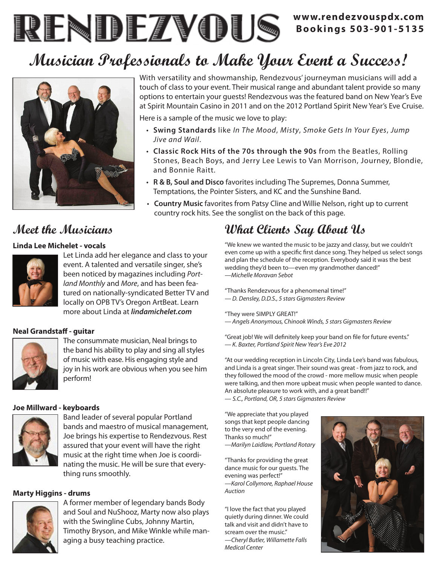### **www.rendezvouspdx.com Bookings 503-901-5135**

# **Musician Professionals to Make Your Event a Success!**



With versatility and showmanship, Rendezvous' journeyman musicians will add a touch of class to your event. Their musical range and abundant talent provide so many options to entertain your guests! Rendezvous was the featured band on New Year's Eve at Spirit Mountain Casino in 2011 and on the 2012 Portland Spirit New Year's Eve Cruise. Here is a sample of the music we love to play:

- • **Swing Standards** like *In The Mood*, *Misty*, *Smoke Gets In Your Eyes*, *Jump Jive and Wail*.
- • **Classic Rock Hits of the 70s through the 90s** from the Beatles, Rolling Stones, Beach Boys, and Jerry Lee Lewis to Van Morrison, Journey, Blondie, and Bonnie Raitt.
- • **R & B, Soul and Disco** favorites including The Supremes, Donna Summer, Temptations, the Pointer Sisters, and KC and the Sunshine Band.
- • **Country Music** favorites from Patsy Cline and Willie Nelson, right up to current country rock hits. See the songlist on the back of this page.

### **Meet the Musicians**

### **Linda Lee Michelet - vocals**



Let Linda add her elegance and class to your event. A talented and versatile singer, she's been noticed by magazines including *Portland Monthly* and *More*, and has been featured on nationally-syndicated Better TV and locally on OPB TV's Oregon ArtBeat. Learn more about Linda at *lindamichelet.com*

### **Neal Grandstaff - guitar**



The consummate musician, Neal brings to the band his ability to play and sing all styles of music with ease. His engaging style and joy in his work are obvious when you see him perform!

### **Joe Millward - keyboards**



Band leader of several popular Portland bands and maestro of musical management, Joe brings his expertise to Rendezvous. Rest assured that your event will have the right music at the right time when Joe is coordinating the music. He will be sure that everything runs smoothly.

### **Marty Higgins - drums**



A former member of legendary bands Body and Soul and NuShooz, Marty now also plays with the Swingline Cubs, Johnny Martin, Timothy Bryson, and Mike Winkle while managing a busy teaching practice.

## **What Clients Say About Us**

"We knew we wanted the music to be jazzy and classy, but we couldn't even come up with a specific first dance song. They helped us select songs and plan the schedule of the reception. Everybody said it was the best wedding they'd been to—even my grandmother danced!" *—Michelle Moravan Sebot*

"Thanks Rendezvous for a phenomenal time!" *— D. Densley, D.D.S., 5 stars Gigmasters Review*

"They were SIMPLY GREAT!"

*— Angels Anonymous, Chinook Winds, 5 stars Gigmasters Review*

"Great job! We will definitely keep your band on file for future events." *— K. Baxter, Portland Spirit New Year's Eve 2012*

"At our wedding reception in Lincoln City, Linda Lee's band was fabulous, and Linda is a great singer. Their sound was great - from jazz to rock, and they followed the mood of the crowd - more mellow music when people were talking, and then more upbeat music when people wanted to dance. An absolute pleasure to work with, and a great band!!" — *S.C., Portland, OR, 5 stars Gigmasters Review*

"We appreciate that you played songs that kept people dancing to the very end of the evening. Thanks so much!"

*—Marilyn Laidlaw, Portland Rotary*

"Thanks for providing the great dance music for our guests. The evening was perfect!" *—Karol Collymore, Raphael House Auction*

"I love the fact that you played quietly during dinner. We could talk and visit and didn't have to scream over the music." *—Cheryl Butler, Willamette Falls Medical Center*